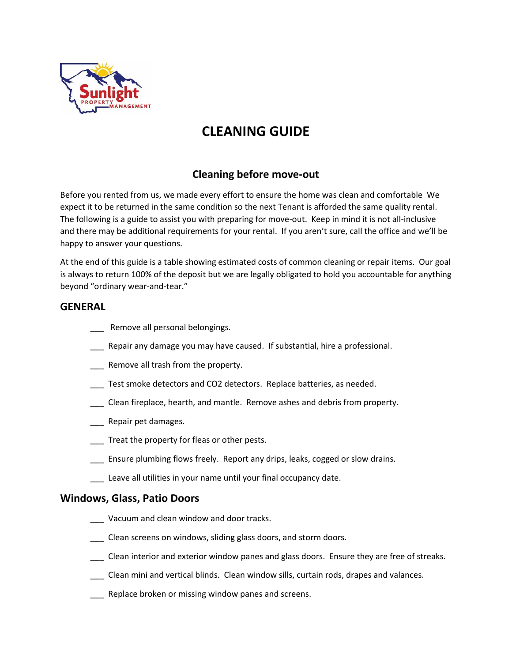

# **CLEANING GUIDE**

# **Cleaning before move-out**

Before you rented from us, we made every effort to ensure the home was clean and comfortable We expect it to be returned in the same condition so the next Tenant is afforded the same quality rental. The following is a guide to assist you with preparing for move-out. Keep in mind it is not all-inclusive and there may be additional requirements for your rental. If you aren't sure, call the office and we'll be happy to answer your questions.

At the end of this guide is a table showing estimated costs of common cleaning or repair items. Our goal is always to return 100% of the deposit but we are legally obligated to hold you accountable for anything beyond "ordinary wear-and-tear."

# **GENERAL**

- Remove all personal belongings.
- \_\_\_ Repair any damage you may have caused. If substantial, hire a professional.
- \_\_\_ Remove all trash from the property.
- \_\_\_ Test smoke detectors and CO2 detectors. Replace batteries, as needed.
- \_\_\_ Clean fireplace, hearth, and mantle. Remove ashes and debris from property.
- \_\_\_ Repair pet damages.
- \_\_\_ Treat the property for fleas or other pests.
- \_\_\_ Ensure plumbing flows freely. Report any drips, leaks, cogged or slow drains.
- \_\_\_ Leave all utilities in your name until your final occupancy date.

# **Windows, Glass, Patio Doors**

- \_\_\_ Vacuum and clean window and door tracks.
- \_\_\_ Clean screens on windows, sliding glass doors, and storm doors.
- \_\_\_ Clean interior and exterior window panes and glass doors. Ensure they are free of streaks.
- \_\_\_ Clean mini and vertical blinds. Clean window sills, curtain rods, drapes and valances.
- \_\_\_ Replace broken or missing window panes and screens.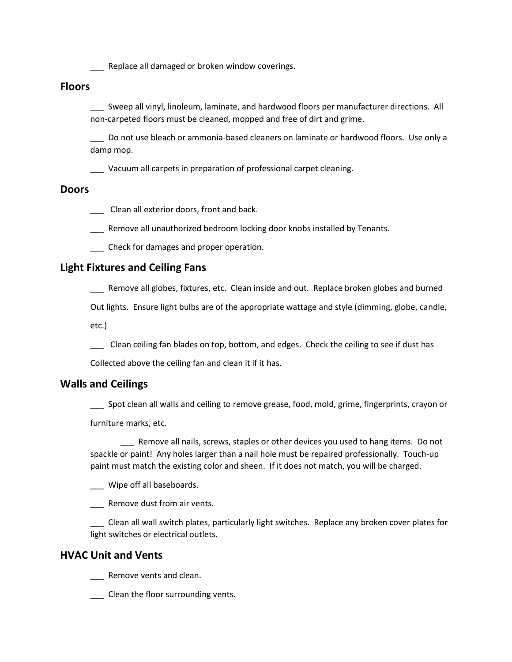\_\_\_ Replace all damaged or broken window coverings.

### **Floors**

\_\_\_ Sweep all vinyl, linoleum, laminate, and hardwood floors per manufacturer directions. All non-carpeted floors must be cleaned, mopped and free of dirt and grime.

\_\_\_ Do not use bleach or ammonia-based cleaners on laminate or hardwood floors. Use only a damp mop.

\_\_\_ Vacuum all carpets in preparation of professional carpet cleaning.

### **Doors**

\_\_\_ Clean all exterior doors, front and back.

\_\_\_ Remove all unauthorized bedroom locking door knobs installed by Tenants.

\_\_\_ Check for damages and proper operation.

# **Light Fixtures and Ceiling Fans**

\_\_\_ Remove all globes, fixtures, etc. Clean inside and out. Replace broken globes and burned

Out lights. Ensure light bulbs are of the appropriate wattage and style (dimming, globe, candle,

etc.)

\_\_\_ Clean ceiling fan blades on top, bottom, and edges. Check the ceiling to see if dust has

Collected above the ceiling fan and clean it if it has.

### **Walls and Ceilings**

\_\_\_ Spot clean all walls and ceiling to remove grease, food, mold, grime, fingerprints, crayon or

furniture marks, etc.

\_\_\_ Remove all nails, screws, staples or other devices you used to hang items. Do not spackle or paint! Any holes larger than a nail hole must be repaired professionally. Touch-up paint must match the existing color and sheen. If it does not match, you will be charged.

\_\_\_ Wipe off all baseboards.

\_\_\_ Remove dust from air vents.

\_\_\_ Clean all wall switch plates, particularly light switches. Replace any broken cover plates for light switches or electrical outlets.

# **HVAC Unit and Vents**

\_\_\_ Remove vents and clean.

\_\_\_ Clean the floor surrounding vents.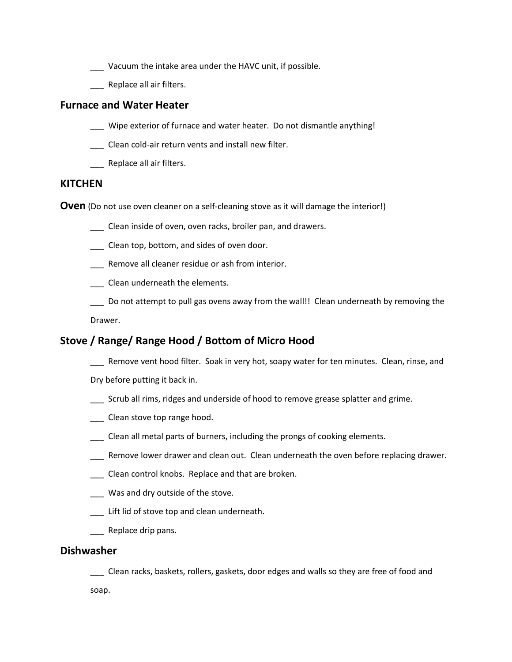- \_\_\_ Vacuum the intake area under the HAVC unit, if possible.
- \_\_\_ Replace all air filters.

### **Furnace and Water Heater**

- \_\_\_ Wipe exterior of furnace and water heater. Do not dismantle anything!
- \_\_\_ Clean cold-air return vents and install new filter.
- \_\_\_ Replace all air filters.

#### **KITCHEN**

**Oven** (Do not use oven cleaner on a self-cleaning stove as it will damage the interior!)

- \_\_\_ Clean inside of oven, oven racks, broiler pan, and drawers.
- \_\_\_ Clean top, bottom, and sides of oven door.
- \_\_\_ Remove all cleaner residue or ash from interior.
- \_\_\_ Clean underneath the elements.
- \_\_\_ Do not attempt to pull gas ovens away from the wall!! Clean underneath by removing the

Drawer.

# **Stove / Range/ Range Hood / Bottom of Micro Hood**

- \_\_\_ Remove vent hood filter. Soak in very hot, soapy water for ten minutes. Clean, rinse, and
- Dry before putting it back in.
- \_\_\_ Scrub all rims, ridges and underside of hood to remove grease splatter and grime.
- \_\_\_ Clean stove top range hood.
- \_\_\_ Clean all metal parts of burners, including the prongs of cooking elements.
- \_\_\_ Remove lower drawer and clean out. Clean underneath the oven before replacing drawer.
- \_\_\_ Clean control knobs. Replace and that are broken.
- \_\_\_ Was and dry outside of the stove.
- Lift lid of stove top and clean underneath.
- \_\_\_ Replace drip pans.

#### **Dishwasher**

\_\_\_ Clean racks, baskets, rollers, gaskets, door edges and walls so they are free of food and soap.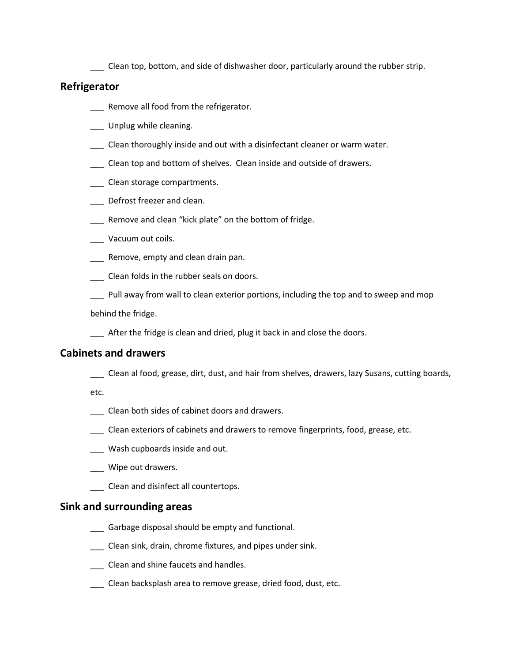\_\_\_ Clean top, bottom, and side of dishwasher door, particularly around the rubber strip.

# **Refrigerator**

- Remove all food from the refrigerator.
- \_\_\_ Unplug while cleaning.
- \_\_\_ Clean thoroughly inside and out with a disinfectant cleaner or warm water.
- \_\_\_ Clean top and bottom of shelves. Clean inside and outside of drawers.
- \_\_\_ Clean storage compartments.
- \_\_\_ Defrost freezer and clean.
- \_\_\_ Remove and clean "kick plate" on the bottom of fridge.
- \_\_\_ Vacuum out coils.
- **\_\_\_** Remove, empty and clean drain pan.
- \_\_\_ Clean folds in the rubber seals on doors.
- \_\_\_ Pull away from wall to clean exterior portions, including the top and to sweep and mop

behind the fridge.

\_\_\_ After the fridge is clean and dried, plug it back in and close the doors.

#### **Cabinets and drawers**

\_\_\_ Clean al food, grease, dirt, dust, and hair from shelves, drawers, lazy Susans, cutting boards,

etc.

- \_\_\_ Clean both sides of cabinet doors and drawers.
- \_\_\_ Clean exteriors of cabinets and drawers to remove fingerprints, food, grease, etc.
- \_\_\_ Wash cupboards inside and out.
- \_\_\_ Wipe out drawers.
- \_\_\_ Clean and disinfect all countertops.

#### **Sink and surrounding areas**

- \_\_\_ Garbage disposal should be empty and functional.
- \_\_\_ Clean sink, drain, chrome fixtures, and pipes under sink.
- \_\_\_ Clean and shine faucets and handles.
- \_\_\_ Clean backsplash area to remove grease, dried food, dust, etc.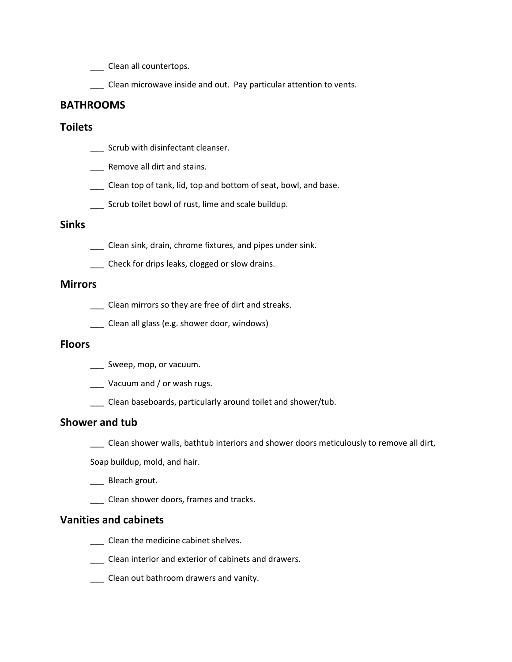- \_\_\_ Clean all countertops.
- \_\_\_ Clean microwave inside and out. Pay particular attention to vents.

### **BATHROOMS**

#### **Toilets**

- Scrub with disinfectant cleanser.
- Remove all dirt and stains.
- Clean top of tank, lid, top and bottom of seat, bowl, and base.
- \_\_\_ Scrub toilet bowl of rust, lime and scale buildup.

#### **Sinks**

- \_\_\_ Clean sink, drain, chrome fixtures, and pipes under sink.
- \_\_\_ Check for drips leaks, clogged or slow drains.

#### **Mirrors**

- \_\_\_ Clean mirrors so they are free of dirt and streaks.
- \_\_\_ Clean all glass (e.g. shower door, windows)

#### **Floors**

- \_\_\_ Sweep, mop, or vacuum.
- \_\_\_ Vacuum and / or wash rugs.
- \_\_\_ Clean baseboards, particularly around toilet and shower/tub.

#### **Shower and tub**

\_\_\_ Clean shower walls, bathtub interiors and shower doors meticulously to remove all dirt,

Soap buildup, mold, and hair.

- \_\_\_ Bleach grout.
- \_\_\_ Clean shower doors, frames and tracks.

# **Vanities and cabinets**

- \_\_\_ Clean the medicine cabinet shelves.
- \_\_\_ Clean interior and exterior of cabinets and drawers.
- \_\_\_ Clean out bathroom drawers and vanity.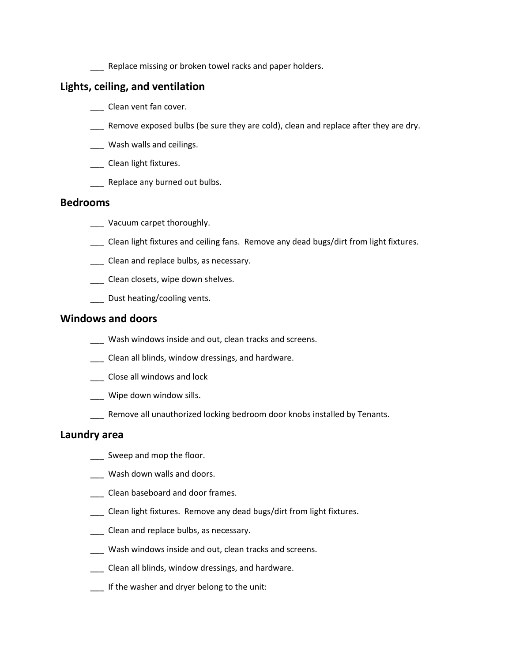\_\_\_ Replace missing or broken towel racks and paper holders.

# **Lights, ceiling, and ventilation**

- \_\_\_ Clean vent fan cover.
- \_\_\_ Remove exposed bulbs (be sure they are cold), clean and replace after they are dry.
- \_\_\_ Wash walls and ceilings.
- \_\_\_ Clean light fixtures.
- **EXECUTE:** Replace any burned out bulbs.

# **Bedrooms**

- \_\_\_ Vacuum carpet thoroughly.
- \_\_\_ Clean light fixtures and ceiling fans. Remove any dead bugs/dirt from light fixtures.
- \_\_\_ Clean and replace bulbs, as necessary.
- \_\_\_ Clean closets, wipe down shelves.
- Dust heating/cooling vents.

# **Windows and doors**

- \_\_\_ Wash windows inside and out, clean tracks and screens.
- \_\_\_ Clean all blinds, window dressings, and hardware.
- \_\_\_ Close all windows and lock
- Wipe down window sills.
- \_\_\_ Remove all unauthorized locking bedroom door knobs installed by Tenants.

#### **Laundry area**

- \_\_\_ Sweep and mop the floor.
- Wash down walls and doors.
- \_\_\_ Clean baseboard and door frames.
- \_\_\_ Clean light fixtures. Remove any dead bugs/dirt from light fixtures.
- \_\_\_ Clean and replace bulbs, as necessary.
- \_\_\_ Wash windows inside and out, clean tracks and screens.
- \_\_\_ Clean all blinds, window dressings, and hardware.
- \_\_\_ If the washer and dryer belong to the unit: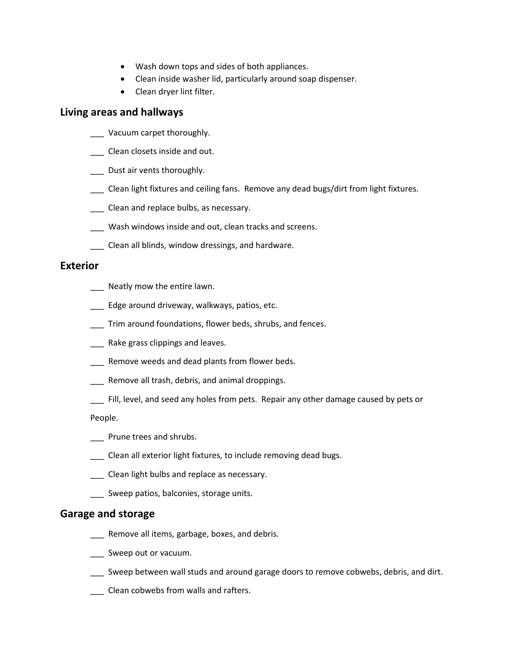- Wash down tops and sides of both appliances.
- Clean inside washer lid, particularly around soap dispenser.
- Clean dryer lint filter.

# **Living areas and hallways**

- \_\_\_ Vacuum carpet thoroughly.
- \_\_\_ Clean closets inside and out.
- \_\_\_ Dust air vents thoroughly.
- \_\_\_ Clean light fixtures and ceiling fans. Remove any dead bugs/dirt from light fixtures.
- \_\_\_ Clean and replace bulbs, as necessary.
- Wash windows inside and out, clean tracks and screens.
- \_\_\_ Clean all blinds, window dressings, and hardware.

#### **Exterior**

- Neatly mow the entire lawn.
- \_\_\_ Edge around driveway, walkways, patios, etc.
- \_\_\_ Trim around foundations, flower beds, shrubs, and fences.
- Rake grass clippings and leaves.
- Remove weeds and dead plants from flower beds.
- **\_\_\_** Remove all trash, debris, and animal droppings.
- \_\_\_ Fill, level, and seed any holes from pets. Repair any other damage caused by pets or

People.

- \_\_\_ Prune trees and shrubs.
- Clean all exterior light fixtures, to include removing dead bugs.
- Clean light bulbs and replace as necessary.
- \_\_\_ Sweep patios, balconies, storage units.

### **Garage and storage**

- **\_\_\_** Remove all items, garbage, boxes, and debris.
- \_\_\_ Sweep out or vacuum.
- \_\_\_ Sweep between wall studs and around garage doors to remove cobwebs, debris, and dirt.
- \_\_\_ Clean cobwebs from walls and rafters.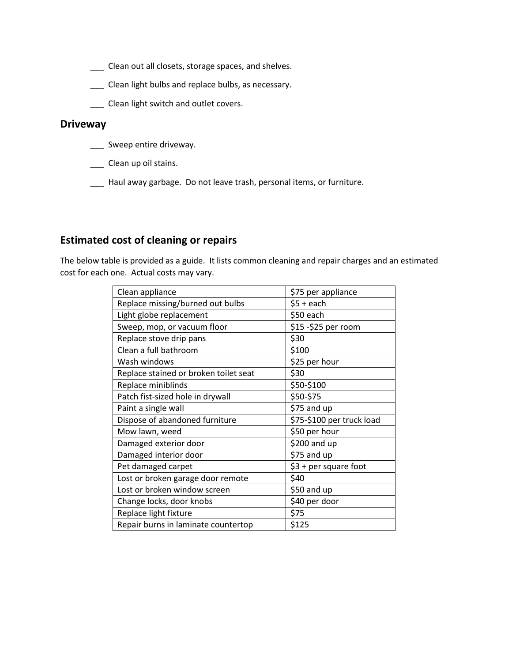- \_\_\_ Clean out all closets, storage spaces, and shelves.
- \_\_\_ Clean light bulbs and replace bulbs, as necessary.
- \_\_\_ Clean light switch and outlet covers.

# **Driveway**

- \_\_\_ Sweep entire driveway.
- \_\_\_ Clean up oil stains.
- \_\_\_ Haul away garbage. Do not leave trash, personal items, or furniture.

# **Estimated cost of cleaning or repairs**

The below table is provided as a guide. It lists common cleaning and repair charges and an estimated cost for each one. Actual costs may vary.

| Clean appliance                       | \$75 per appliance        |
|---------------------------------------|---------------------------|
| Replace missing/burned out bulbs      | $$5 + each$               |
| Light globe replacement               | \$50 each                 |
| Sweep, mop, or vacuum floor           | \$15 - \$25 per room      |
| Replace stove drip pans               | \$30                      |
| Clean a full bathroom                 | \$100                     |
| Wash windows                          | \$25 per hour             |
| Replace stained or broken toilet seat | \$30                      |
| Replace miniblinds                    | \$50-\$100                |
| Patch fist-sized hole in drywall      | \$50-\$75                 |
| Paint a single wall                   | \$75 and up               |
| Dispose of abandoned furniture        | \$75-\$100 per truck load |
| Mow lawn, weed                        | \$50 per hour             |
| Damaged exterior door                 | $$200$ and up             |
| Damaged interior door                 | \$75 and up               |
| Pet damaged carpet                    | $$3 + per square foot$    |
| Lost or broken garage door remote     | \$40                      |
| Lost or broken window screen          | \$50 and up               |
| Change locks, door knobs              | \$40 per door             |
| Replace light fixture                 | \$75                      |
| Repair burns in laminate countertop   | \$125                     |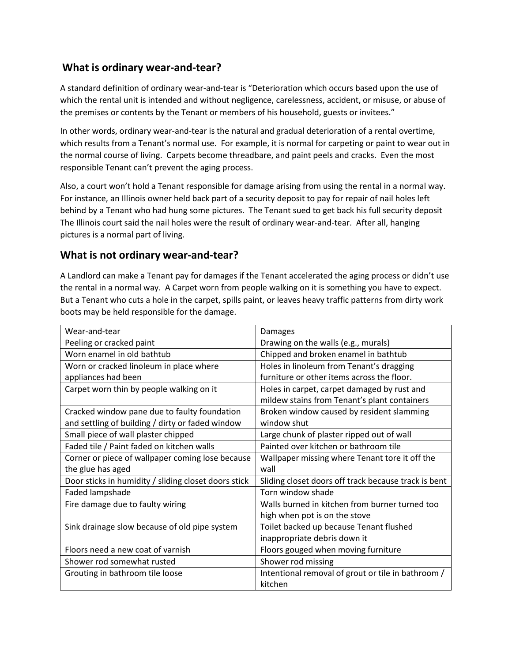# **What is ordinary wear-and-tear?**

A standard definition of ordinary wear-and-tear is "Deterioration which occurs based upon the use of which the rental unit is intended and without negligence, carelessness, accident, or misuse, or abuse of the premises or contents by the Tenant or members of his household, guests or invitees."

In other words, ordinary wear-and-tear is the natural and gradual deterioration of a rental overtime, which results from a Tenant's normal use. For example, it is normal for carpeting or paint to wear out in the normal course of living. Carpets become threadbare, and paint peels and cracks. Even the most responsible Tenant can't prevent the aging process.

Also, a court won't hold a Tenant responsible for damage arising from using the rental in a normal way. For instance, an Illinois owner held back part of a security deposit to pay for repair of nail holes left behind by a Tenant who had hung some pictures. The Tenant sued to get back his full security deposit The Illinois court said the nail holes were the result of ordinary wear-and-tear. After all, hanging pictures is a normal part of living.

# **What is not ordinary wear-and-tear?**

A Landlord can make a Tenant pay for damages if the Tenant accelerated the aging process or didn't use the rental in a normal way. A Carpet worn from people walking on it is something you have to expect. But a Tenant who cuts a hole in the carpet, spills paint, or leaves heavy traffic patterns from dirty work boots may be held responsible for the damage.

| Wear-and-tear                                        | Damages                                              |
|------------------------------------------------------|------------------------------------------------------|
| Peeling or cracked paint                             | Drawing on the walls (e.g., murals)                  |
| Worn enamel in old bathtub                           | Chipped and broken enamel in bathtub                 |
| Worn or cracked linoleum in place where              | Holes in linoleum from Tenant's dragging             |
| appliances had been                                  | furniture or other items across the floor.           |
| Carpet worn thin by people walking on it             | Holes in carpet, carpet damaged by rust and          |
|                                                      | mildew stains from Tenant's plant containers         |
| Cracked window pane due to faulty foundation         | Broken window caused by resident slamming            |
| and settling of building / dirty or faded window     | window shut                                          |
| Small piece of wall plaster chipped                  | Large chunk of plaster ripped out of wall            |
| Faded tile / Paint faded on kitchen walls            | Painted over kitchen or bathroom tile                |
| Corner or piece of wallpaper coming lose because     | Wallpaper missing where Tenant tore it off the       |
| the glue has aged                                    | wall                                                 |
| Door sticks in humidity / sliding closet doors stick | Sliding closet doors off track because track is bent |
| Faded lampshade                                      | Torn window shade                                    |
| Fire damage due to faulty wiring                     | Walls burned in kitchen from burner turned too       |
|                                                      | high when pot is on the stove                        |
| Sink drainage slow because of old pipe system        | Toilet backed up because Tenant flushed              |
|                                                      | inappropriate debris down it                         |
| Floors need a new coat of varnish                    | Floors gouged when moving furniture                  |
| Shower rod somewhat rusted                           | Shower rod missing                                   |
| Grouting in bathroom tile loose                      | Intentional removal of grout or tile in bathroom /   |
|                                                      | kitchen                                              |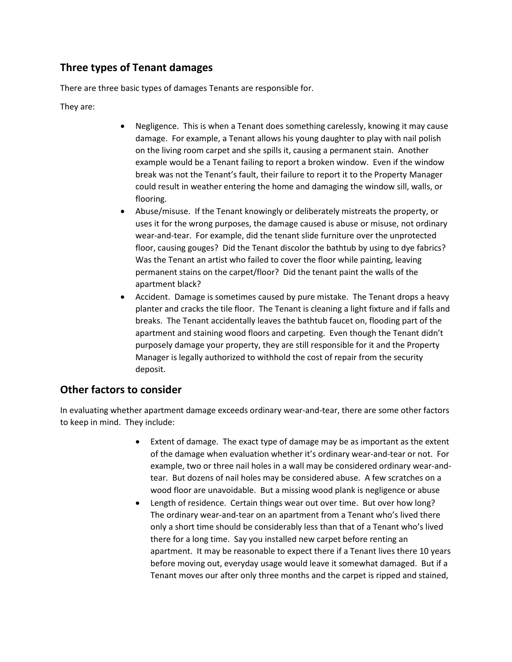# **Three types of Tenant damages**

There are three basic types of damages Tenants are responsible for.

They are:

- Negligence. This is when a Tenant does something carelessly, knowing it may cause damage. For example, a Tenant allows his young daughter to play with nail polish on the living room carpet and she spills it, causing a permanent stain. Another example would be a Tenant failing to report a broken window. Even if the window break was not the Tenant's fault, their failure to report it to the Property Manager could result in weather entering the home and damaging the window sill, walls, or flooring.
- Abuse/misuse. If the Tenant knowingly or deliberately mistreats the property, or uses it for the wrong purposes, the damage caused is abuse or misuse, not ordinary wear-and-tear. For example, did the tenant slide furniture over the unprotected floor, causing gouges? Did the Tenant discolor the bathtub by using to dye fabrics? Was the Tenant an artist who failed to cover the floor while painting, leaving permanent stains on the carpet/floor? Did the tenant paint the walls of the apartment black?
- Accident. Damage is sometimes caused by pure mistake. The Tenant drops a heavy planter and cracks the tile floor. The Tenant is cleaning a light fixture and if falls and breaks. The Tenant accidentally leaves the bathtub faucet on, flooding part of the apartment and staining wood floors and carpeting. Even though the Tenant didn't purposely damage your property, they are still responsible for it and the Property Manager is legally authorized to withhold the cost of repair from the security deposit.

# **Other factors to consider**

In evaluating whether apartment damage exceeds ordinary wear-and-tear, there are some other factors to keep in mind. They include:

- Extent of damage. The exact type of damage may be as important as the extent of the damage when evaluation whether it's ordinary wear-and-tear or not. For example, two or three nail holes in a wall may be considered ordinary wear-andtear. But dozens of nail holes may be considered abuse. A few scratches on a wood floor are unavoidable. But a missing wood plank is negligence or abuse
- Length of residence. Certain things wear out over time. But over how long? The ordinary wear-and-tear on an apartment from a Tenant who's lived there only a short time should be considerably less than that of a Tenant who's lived there for a long time. Say you installed new carpet before renting an apartment. It may be reasonable to expect there if a Tenant lives there 10 years before moving out, everyday usage would leave it somewhat damaged. But if a Tenant moves our after only three months and the carpet is ripped and stained,